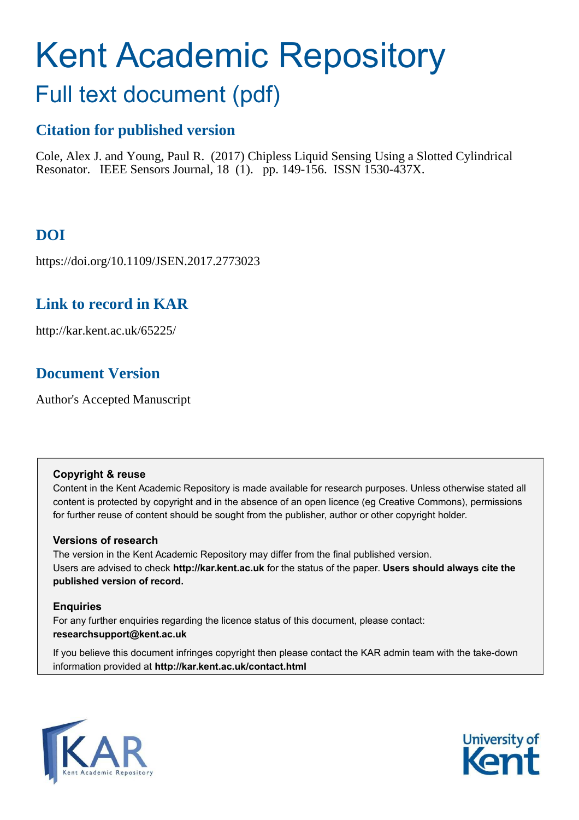# Kent Academic Repository

# Full text document (pdf)

### **Citation for published version**

Cole, Alex J. and Young, Paul R. (2017) Chipless Liquid Sensing Using a Slotted Cylindrical Resonator. IEEE Sensors Journal, 18 (1). pp. 149-156. ISSN 1530-437X.

# **DOI**

https://doi.org/10.1109/JSEN.2017.2773023

## **Link to record in KAR**

http://kar.kent.ac.uk/65225/

## **Document Version**

Author's Accepted Manuscript

#### **Copyright & reuse**

Content in the Kent Academic Repository is made available for research purposes. Unless otherwise stated all content is protected by copyright and in the absence of an open licence (eg Creative Commons), permissions for further reuse of content should be sought from the publisher, author or other copyright holder.

#### **Versions of research**

The version in the Kent Academic Repository may differ from the final published version. Users are advised to check **http://kar.kent.ac.uk** for the status of the paper. **Users should always cite the published version of record.**

#### **Enquiries**

For any further enquiries regarding the licence status of this document, please contact: **researchsupport@kent.ac.uk**

If you believe this document infringes copyright then please contact the KAR admin team with the take-down information provided at **http://kar.kent.ac.uk/contact.html**



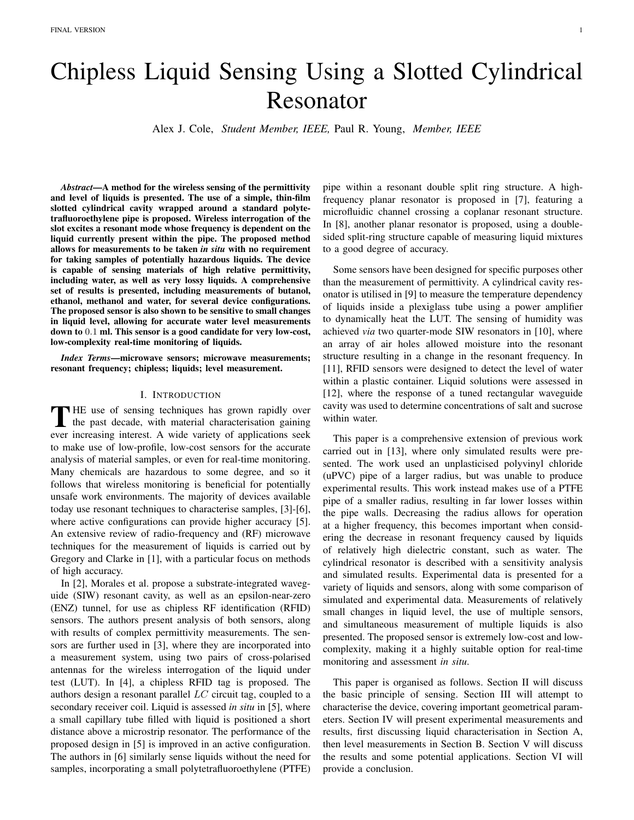# Chipless Liquid Sensing Using a Slotted Cylindrical Resonator

Alex J. Cole, *Student Member, IEEE,* Paul R. Young, *Member, IEEE*

*Abstract*—A method for the wireless sensing of the permittivity and level of liquids is presented. The use of a simple, thin-film slotted cylindrical cavity wrapped around a standard polytetrafluoroethylene pipe is proposed. Wireless interrogation of the slot excites a resonant mode whose frequency is dependent on the liquid currently present within the pipe. The proposed method allows for measurements to be taken *in situ* with no requirement for taking samples of potentially hazardous liquids. The device is capable of sensing materials of high relative permittivity, including water, as well as very lossy liquids. A comprehensive set of results is presented, including measurements of butanol, ethanol, methanol and water, for several device configurations. The proposed sensor is also shown to be sensitive to small changes in liquid level, allowing for accurate water level measurements down to 0.1 ml. This sensor is a good candidate for very low-cost, low-complexity real-time monitoring of liquids.

*Index Terms*—microwave sensors; microwave measurements; resonant frequency; chipless; liquids; level measurement.

#### I. INTRODUCTION

THE use of sensing techniques has grown rapidly over<br>the past decade, with material characterisation gaining<br>was increasing interest. A mids unit of conditations soluthe past decade, with material characterisation gaining ever increasing interest. A wide variety of applications seek to make use of low-profile, low-cost sensors for the accurate analysis of material samples, or even for real-time monitoring. Many chemicals are hazardous to some degree, and so it follows that wireless monitoring is beneficial for potentially unsafe work environments. The majority of devices available today use resonant techniques to characterise samples, [3]-[6], where active configurations can provide higher accuracy [5]. An extensive review of radio-frequency and (RF) microwave techniques for the measurement of liquids is carried out by Gregory and Clarke in [1], with a particular focus on methods of high accuracy.

In [2], Morales et al. propose a substrate-integrated waveguide (SIW) resonant cavity, as well as an epsilon-near-zero (ENZ) tunnel, for use as chipless RF identification (RFID) sensors. The authors present analysis of both sensors, along with results of complex permittivity measurements. The sensors are further used in [3], where they are incorporated into a measurement system, using two pairs of cross-polarised antennas for the wireless interrogation of the liquid under test (LUT). In [4], a chipless RFID tag is proposed. The authors design a resonant parallel LC circuit tag, coupled to a secondary receiver coil. Liquid is assessed *in situ* in [5], where a small capillary tube filled with liquid is positioned a short distance above a microstrip resonator. The performance of the proposed design in [5] is improved in an active configuration. The authors in [6] similarly sense liquids without the need for samples, incorporating a small polytetrafluoroethylene (PTFE) pipe within a resonant double split ring structure. A highfrequency planar resonator is proposed in [7], featuring a microfluidic channel crossing a coplanar resonant structure. In [8], another planar resonator is proposed, using a doublesided split-ring structure capable of measuring liquid mixtures to a good degree of accuracy.

Some sensors have been designed for specific purposes other than the measurement of permittivity. A cylindrical cavity resonator is utilised in [9] to measure the temperature dependency of liquids inside a plexiglass tube using a power amplifier to dynamically heat the LUT. The sensing of humidity was achieved *via* two quarter-mode SIW resonators in [10], where an array of air holes allowed moisture into the resonant structure resulting in a change in the resonant frequency. In [11], RFID sensors were designed to detect the level of water within a plastic container. Liquid solutions were assessed in [12], where the response of a tuned rectangular waveguide cavity was used to determine concentrations of salt and sucrose within water.

This paper is a comprehensive extension of previous work carried out in [13], where only simulated results were presented. The work used an unplasticised polyvinyl chloride (uPVC) pipe of a larger radius, but was unable to produce experimental results. This work instead makes use of a PTFE pipe of a smaller radius, resulting in far lower losses within the pipe walls. Decreasing the radius allows for operation at a higher frequency, this becomes important when considering the decrease in resonant frequency caused by liquids of relatively high dielectric constant, such as water. The cylindrical resonator is described with a sensitivity analysis and simulated results. Experimental data is presented for a variety of liquids and sensors, along with some comparison of simulated and experimental data. Measurements of relatively small changes in liquid level, the use of multiple sensors, and simultaneous measurement of multiple liquids is also presented. The proposed sensor is extremely low-cost and lowcomplexity, making it a highly suitable option for real-time monitoring and assessment *in situ*.

This paper is organised as follows. Section II will discuss the basic principle of sensing. Section III will attempt to characterise the device, covering important geometrical parameters. Section IV will present experimental measurements and results, first discussing liquid characterisation in Section A, then level measurements in Section B. Section V will discuss the results and some potential applications. Section VI will provide a conclusion.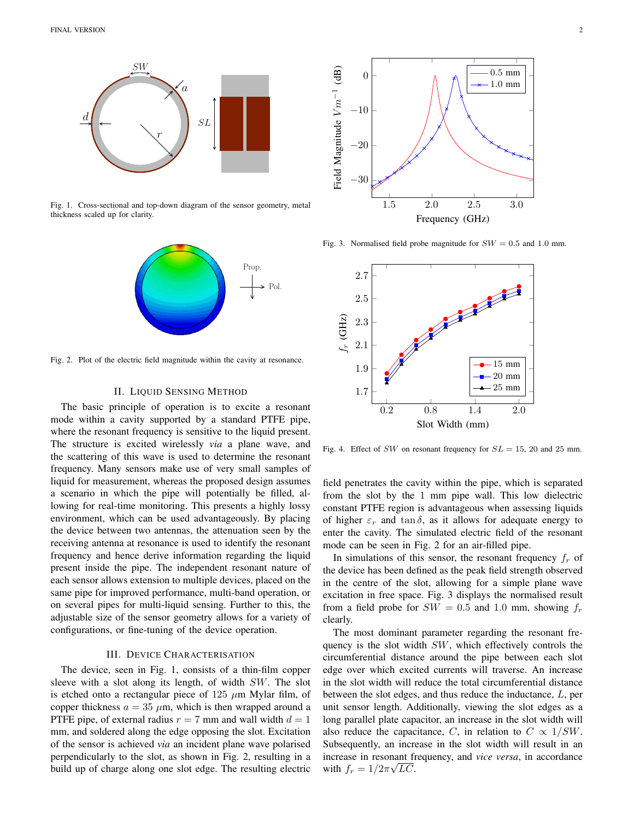

Fig. 1. Cross-sectional and top-down diagram of the sensor geometry, metal thickness scaled up for clarity.



Fig. 2. Plot of the electric field magnitude within the cavity at resonance.

#### II. LIQUID SENSING METHOD

The basic principle of operation is to excite a resonant mode within a cavity supported by a standard PTFE pipe, where the resonant frequency is sensitive to the liquid present. The structure is excited wirelessly *via* a plane wave, and the scattering of this wave is used to determine the resonant frequency. Many sensors make use of very small samples of liquid for measurement, whereas the proposed design assumes a scenario in which the pipe will potentially be filled, allowing for real-time monitoring. This presents a highly lossy environment, which can be used advantageously. By placing the device between two antennas, the attenuation seen by the receiving antenna at resonance is used to identify the resonant frequency and hence derive information regarding the liquid present inside the pipe. The independent resonant nature of each sensor allows extension to multiple devices, placed on the same pipe for improved performance, multi-band operation, or on several pipes for multi-liquid sensing. Further to this, the adjustable size of the sensor geometry allows for a variety of configurations, or fine-tuning of the device operation.

#### III. DEVICE CHARACTERISATION

The device, seen in Fig. 1, consists of a thin-film copper sleeve with a slot along its length, of width SW. The slot is etched onto a rectangular piece of  $125 \mu m$  Mylar film, of copper thickness  $a = 35 \mu m$ , which is then wrapped around a PTFE pipe, of external radius  $r = 7$  mm and wall width  $d = 1$ mm, and soldered along the edge opposing the slot. Excitation of the sensor is achieved *via* an incident plane wave polarised perpendicularly to the slot, as shown in Fig. 2, resulting in a build up of charge along one slot edge. The resulting electric



Fig. 3. Normalised field probe magnitude for  $SW = 0.5$  and 1.0 mm.



Fig. 4. Effect of SW on resonant frequency for  $SL = 15$ , 20 and 25 mm.

field penetrates the cavity within the pipe, which is separated from the slot by the 1 mm pipe wall. This low dielectric constant PTFE region is advantageous when assessing liquids of higher  $\varepsilon_r$  and tan  $\delta$ , as it allows for adequate energy to enter the cavity. The simulated electric field of the resonant mode can be seen in Fig. 2 for an air-filled pipe.

In simulations of this sensor, the resonant frequency  $f_r$  of the device has been defined as the peak field strength observed in the centre of the slot, allowing for a simple plane wave excitation in free space. Fig. 3 displays the normalised result from a field probe for  $SW = 0.5$  and 1.0 mm, showing  $f_r$ clearly.

The most dominant parameter regarding the resonant frequency is the slot width SW, which effectively controls the circumferential distance around the pipe between each slot edge over which excited currents will traverse. An increase in the slot width will reduce the total circumferential distance between the slot edges, and thus reduce the inductance, L, per unit sensor length. Additionally, viewing the slot edges as a long parallel plate capacitor, an increase in the slot width will also reduce the capacitance, C, in relation to  $C \propto 1/SW$ . Subsequently, an increase in the slot width will result in an increase in resonant frequency, and *vice versa*, in accordance with  $f_r = 1/2\pi\sqrt{LC}$ .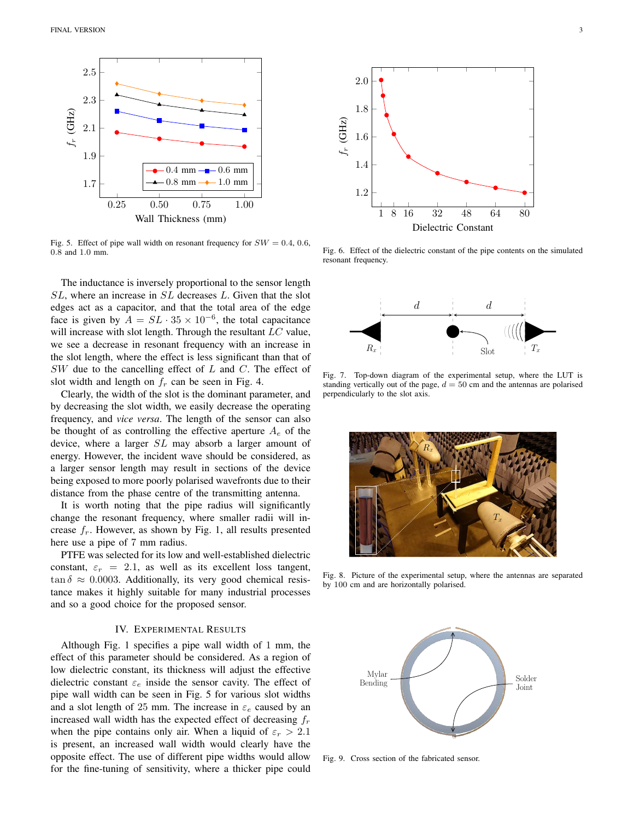

Fig. 5. Effect of pipe wall width on resonant frequency for  $SW = 0.4, 0.6$ , 0.8 and 1.0 mm.

The inductance is inversely proportional to the sensor length SL, where an increase in SL decreases L. Given that the slot edges act as a capacitor, and that the total area of the edge face is given by  $A = SL \cdot 35 \times 10^{-6}$ , the total capacitance will increase with slot length. Through the resultant  $LC$  value, we see a decrease in resonant frequency with an increase in the slot length, where the effect is less significant than that of  $SW$  due to the cancelling effect of  $L$  and  $C$ . The effect of slot width and length on  $f_r$  can be seen in Fig. 4.

Clearly, the width of the slot is the dominant parameter, and by decreasing the slot width, we easily decrease the operating frequency, and *vice versa*. The length of the sensor can also be thought of as controlling the effective aperture  $A_e$  of the device, where a larger SL may absorb a larger amount of energy. However, the incident wave should be considered, as a larger sensor length may result in sections of the device being exposed to more poorly polarised wavefronts due to their distance from the phase centre of the transmitting antenna.

It is worth noting that the pipe radius will significantly change the resonant frequency, where smaller radii will increase  $f_r$ . However, as shown by Fig. 1, all results presented here use a pipe of 7 mm radius.

PTFE was selected for its low and well-established dielectric constant,  $\varepsilon_r = 2.1$ , as well as its excellent loss tangent,  $\tan \delta \approx 0.0003$ . Additionally, its very good chemical resistance makes it highly suitable for many industrial processes and so a good choice for the proposed sensor.

#### IV. EXPERIMENTAL RESULTS

Although Fig. 1 specifies a pipe wall width of 1 mm, the effect of this parameter should be considered. As a region of low dielectric constant, its thickness will adjust the effective dielectric constant  $\varepsilon_e$  inside the sensor cavity. The effect of pipe wall width can be seen in Fig. 5 for various slot widths and a slot length of 25 mm. The increase in  $\varepsilon_e$  caused by an increased wall width has the expected effect of decreasing  $f<sub>r</sub>$ when the pipe contains only air. When a liquid of  $\varepsilon_r > 2.1$ is present, an increased wall width would clearly have the opposite effect. The use of different pipe widths would allow for the fine-tuning of sensitivity, where a thicker pipe could



Fig. 6. Effect of the dielectric constant of the pipe contents on the simulated resonant frequency.



Fig. 7. Top-down diagram of the experimental setup, where the LUT is standing vertically out of the page,  $d = 50$  cm and the antennas are polarised perpendicularly to the slot axis.



Fig. 8. Picture of the experimental setup, where the antennas are separated by 100 cm and are horizontally polarised.



Fig. 9. Cross section of the fabricated sensor.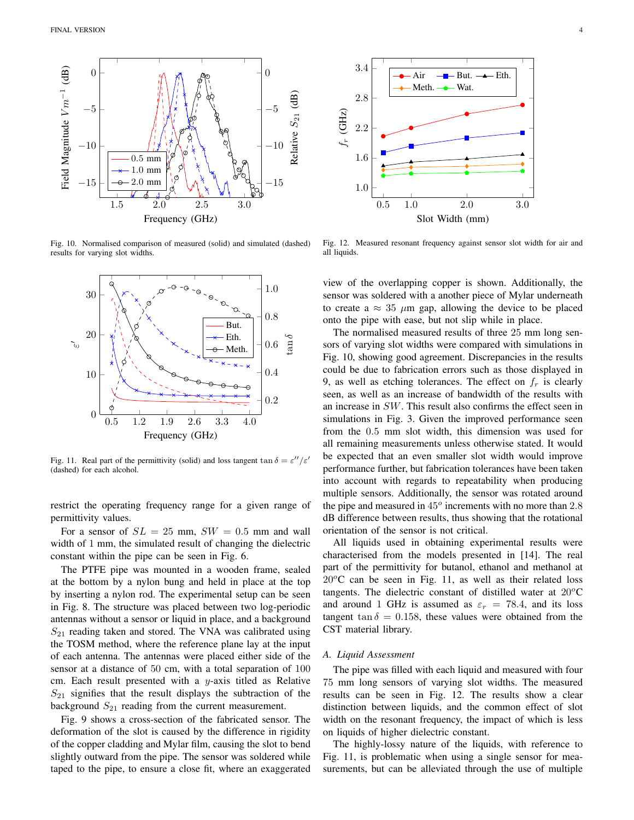

Fig. 10. Normalised comparison of measured (solid) and simulated (dashed) results for varying slot widths.



Fig. 11. Real part of the permittivity (solid) and loss tangent  $\tan \delta = \varepsilon''/\varepsilon'$ (dashed) for each alcohol.

restrict the operating frequency range for a given range of permittivity values.

For a sensor of  $SL = 25$  mm,  $SW = 0.5$  mm and wall width of 1 mm, the simulated result of changing the dielectric constant within the pipe can be seen in Fig. 6.

The PTFE pipe was mounted in a wooden frame, sealed at the bottom by a nylon bung and held in place at the top by inserting a nylon rod. The experimental setup can be seen in Fig. 8. The structure was placed between two log-periodic antennas without a sensor or liquid in place, and a background  $S_{21}$  reading taken and stored. The VNA was calibrated using the TOSM method, where the reference plane lay at the input of each antenna. The antennas were placed either side of the sensor at a distance of 50 cm, with a total separation of 100 cm. Each result presented with a  $y$ -axis titled as Relative  $S_{21}$  signifies that the result displays the subtraction of the background  $S_{21}$  reading from the current measurement.

Fig. 9 shows a cross-section of the fabricated sensor. The deformation of the slot is caused by the difference in rigidity of the copper cladding and Mylar film, causing the slot to bend slightly outward from the pipe. The sensor was soldered while taped to the pipe, to ensure a close fit, where an exaggerated



Fig. 12. Measured resonant frequency against sensor slot width for air and all liquids.

view of the overlapping copper is shown. Additionally, the sensor was soldered with a another piece of Mylar underneath to create a  $\approx 35 \mu m$  gap, allowing the device to be placed onto the pipe with ease, but not slip while in place.

The normalised measured results of three 25 mm long sensors of varying slot widths were compared with simulations in Fig. 10, showing good agreement. Discrepancies in the results could be due to fabrication errors such as those displayed in 9, as well as etching tolerances. The effect on  $f<sub>r</sub>$  is clearly seen, as well as an increase of bandwidth of the results with an increase in SW. This result also confirms the effect seen in simulations in Fig. 3. Given the improved performance seen from the 0.5 mm slot width, this dimension was used for all remaining measurements unless otherwise stated. It would be expected that an even smaller slot width would improve performance further, but fabrication tolerances have been taken into account with regards to repeatability when producing multiple sensors. Additionally, the sensor was rotated around the pipe and measured in  $45^\circ$  increments with no more than 2.8 dB difference between results, thus showing that the rotational orientation of the sensor is not critical.

All liquids used in obtaining experimental results were characterised from the models presented in [14]. The real part of the permittivity for butanol, ethanol and methanol at  $20^{\circ}$ C can be seen in Fig. 11, as well as their related loss tangents. The dielectric constant of distilled water at  $20^{\circ}$ C and around 1 GHz is assumed as  $\varepsilon_r = 78.4$ , and its loss tangent tan  $\delta = 0.158$ , these values were obtained from the CST material library.

#### *A. Liquid Assessment*

The pipe was filled with each liquid and measured with four 75 mm long sensors of varying slot widths. The measured results can be seen in Fig. 12. The results show a clear distinction between liquids, and the common effect of slot width on the resonant frequency, the impact of which is less on liquids of higher dielectric constant.

The highly-lossy nature of the liquids, with reference to Fig. 11, is problematic when using a single sensor for measurements, but can be alleviated through the use of multiple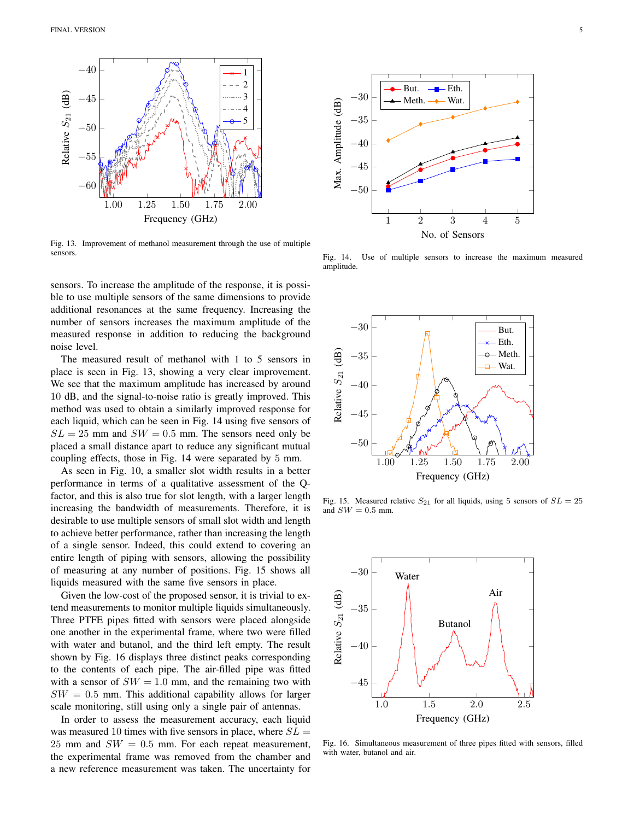

Fig. 13. Improvement of methanol measurement through the use of multiple sensors.

sensors. To increase the amplitude of the response, it is possible to use multiple sensors of the same dimensions to provide additional resonances at the same frequency. Increasing the number of sensors increases the maximum amplitude of the measured response in addition to reducing the background noise level.

The measured result of methanol with 1 to 5 sensors in place is seen in Fig. 13, showing a very clear improvement. We see that the maximum amplitude has increased by around 10 dB, and the signal-to-noise ratio is greatly improved. This method was used to obtain a similarly improved response for each liquid, which can be seen in Fig. 14 using five sensors of  $SL = 25$  mm and  $SW = 0.5$  mm. The sensors need only be placed a small distance apart to reduce any significant mutual coupling effects, those in Fig. 14 were separated by 5 mm.

As seen in Fig. 10, a smaller slot width results in a better performance in terms of a qualitative assessment of the Qfactor, and this is also true for slot length, with a larger length increasing the bandwidth of measurements. Therefore, it is desirable to use multiple sensors of small slot width and length to achieve better performance, rather than increasing the length of a single sensor. Indeed, this could extend to covering an entire length of piping with sensors, allowing the possibility of measuring at any number of positions. Fig. 15 shows all liquids measured with the same five sensors in place.

Given the low-cost of the proposed sensor, it is trivial to extend measurements to monitor multiple liquids simultaneously. Three PTFE pipes fitted with sensors were placed alongside one another in the experimental frame, where two were filled with water and butanol, and the third left empty. The result shown by Fig. 16 displays three distinct peaks corresponding to the contents of each pipe. The air-filled pipe was fitted with a sensor of  $SW = 1.0$  mm, and the remaining two with  $SW = 0.5$  mm. This additional capability allows for larger scale monitoring, still using only a single pair of antennas.

In order to assess the measurement accuracy, each liquid was measured 10 times with five sensors in place, where  $SL =$  $25$  mm and  $SW = 0.5$  mm. For each repeat measurement, the experimental frame was removed from the chamber and a new reference measurement was taken. The uncertainty for



Fig. 14. Use of multiple sensors to increase the maximum measured amplitude.



Fig. 15. Measured relative  $S_{21}$  for all liquids, using 5 sensors of  $SL = 25$ and  $SW = 0.5$  mm.



Fig. 16. Simultaneous measurement of three pipes fitted with sensors, filled with water, butanol and air.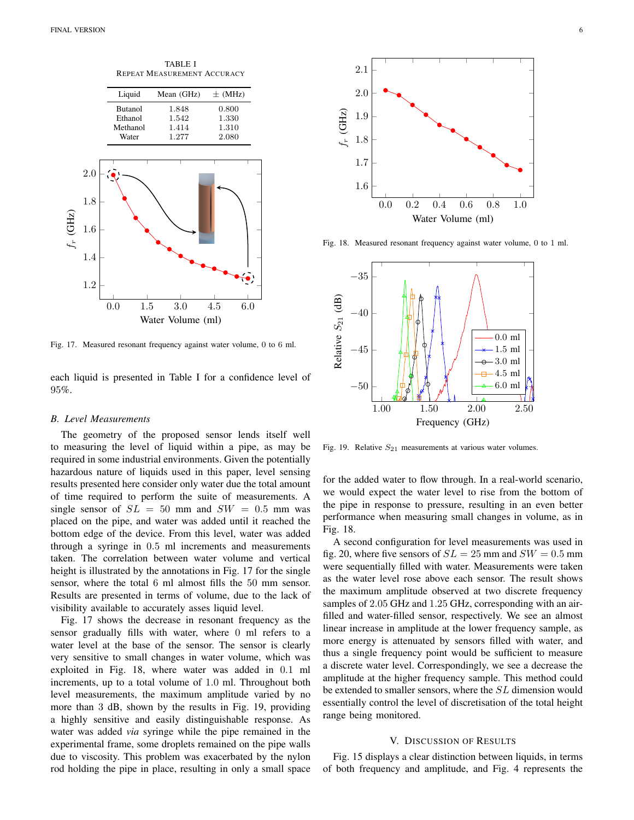TABLE I REPEAT MEASUREMENT ACCURACY



Fig. 17. Measured resonant frequency against water volume, 0 to 6 ml.

each liquid is presented in Table I for a confidence level of 95%.

#### *B. Level Measurements*

The geometry of the proposed sensor lends itself well to measuring the level of liquid within a pipe, as may be required in some industrial environments. Given the potentially hazardous nature of liquids used in this paper, level sensing results presented here consider only water due the total amount of time required to perform the suite of measurements. A single sensor of  $SL = 50$  mm and  $SW = 0.5$  mm was placed on the pipe, and water was added until it reached the bottom edge of the device. From this level, water was added through a syringe in 0.5 ml increments and measurements taken. The correlation between water volume and vertical height is illustrated by the annotations in Fig. 17 for the single sensor, where the total 6 ml almost fills the 50 mm sensor. Results are presented in terms of volume, due to the lack of visibility available to accurately asses liquid level.

Fig. 17 shows the decrease in resonant frequency as the sensor gradually fills with water, where 0 ml refers to a water level at the base of the sensor. The sensor is clearly very sensitive to small changes in water volume, which was exploited in Fig. 18, where water was added in 0.1 ml increments, up to a total volume of 1.0 ml. Throughout both level measurements, the maximum amplitude varied by no more than 3 dB, shown by the results in Fig. 19, providing a highly sensitive and easily distinguishable response. As water was added *via* syringe while the pipe remained in the experimental frame, some droplets remained on the pipe walls due to viscosity. This problem was exacerbated by the nylon rod holding the pipe in place, resulting in only a small space



Fig. 18. Measured resonant frequency against water volume, 0 to 1 ml.



Fig. 19. Relative  $S_{21}$  measurements at various water volumes.

for the added water to flow through. In a real-world scenario, we would expect the water level to rise from the bottom of the pipe in response to pressure, resulting in an even better performance when measuring small changes in volume, as in Fig. 18.

A second configuration for level measurements was used in fig. 20, where five sensors of  $SL = 25$  mm and  $SW = 0.5$  mm were sequentially filled with water. Measurements were taken as the water level rose above each sensor. The result shows the maximum amplitude observed at two discrete frequency samples of 2.05 GHz and 1.25 GHz, corresponding with an airfilled and water-filled sensor, respectively. We see an almost linear increase in amplitude at the lower frequency sample, as more energy is attenuated by sensors filled with water, and thus a single frequency point would be sufficient to measure a discrete water level. Correspondingly, we see a decrease the amplitude at the higher frequency sample. This method could be extended to smaller sensors, where the SL dimension would essentially control the level of discretisation of the total height range being monitored.

#### V. DISCUSSION OF RESULTS

Fig. 15 displays a clear distinction between liquids, in terms of both frequency and amplitude, and Fig. 4 represents the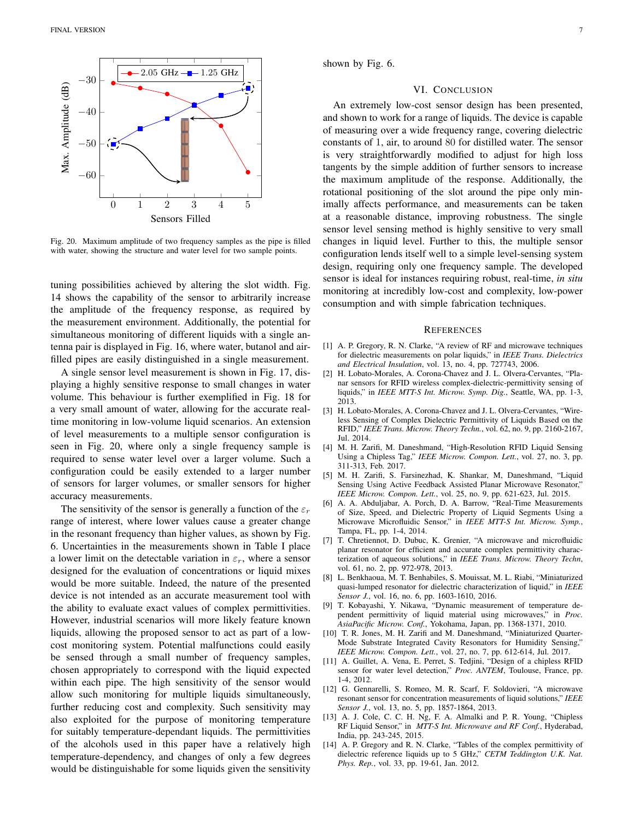

Fig. 20. Maximum amplitude of two frequency samples as the pipe is filled with water, showing the structure and water level for two sample points.

tuning possibilities achieved by altering the slot width. Fig. 14 shows the capability of the sensor to arbitrarily increase the amplitude of the frequency response, as required by the measurement environment. Additionally, the potential for simultaneous monitoring of different liquids with a single antenna pair is displayed in Fig. 16, where water, butanol and airfilled pipes are easily distinguished in a single measurement.

A single sensor level measurement is shown in Fig. 17, displaying a highly sensitive response to small changes in water volume. This behaviour is further exemplified in Fig. 18 for a very small amount of water, allowing for the accurate realtime monitoring in low-volume liquid scenarios. An extension of level measurements to a multiple sensor configuration is seen in Fig. 20, where only a single frequency sample is required to sense water level over a larger volume. Such a configuration could be easily extended to a larger number of sensors for larger volumes, or smaller sensors for higher accuracy measurements.

The sensitivity of the sensor is generally a function of the  $\varepsilon_r$ range of interest, where lower values cause a greater change in the resonant frequency than higher values, as shown by Fig. 6. Uncertainties in the measurements shown in Table I place a lower limit on the detectable variation in  $\varepsilon_r$ , where a sensor designed for the evaluation of concentrations or liquid mixes would be more suitable. Indeed, the nature of the presented device is not intended as an accurate measurement tool with the ability to evaluate exact values of complex permittivities. However, industrial scenarios will more likely feature known liquids, allowing the proposed sensor to act as part of a lowcost monitoring system. Potential malfunctions could easily be sensed through a small number of frequency samples, chosen appropriately to correspond with the liquid expected within each pipe. The high sensitivity of the sensor would allow such monitoring for multiple liquids simultaneously, further reducing cost and complexity. Such sensitivity may also exploited for the purpose of monitoring temperature for suitably temperature-dependant liquids. The permittivities of the alcohols used in this paper have a relatively high temperature-dependency, and changes of only a few degrees would be distinguishable for some liquids given the sensitivity

shown by Fig. 6.

#### VI. CONCLUSION

An extremely low-cost sensor design has been presented, and shown to work for a range of liquids. The device is capable of measuring over a wide frequency range, covering dielectric constants of 1, air, to around 80 for distilled water. The sensor is very straightforwardly modified to adjust for high loss tangents by the simple addition of further sensors to increase the maximum amplitude of the response. Additionally, the rotational positioning of the slot around the pipe only minimally affects performance, and measurements can be taken at a reasonable distance, improving robustness. The single sensor level sensing method is highly sensitive to very small changes in liquid level. Further to this, the multiple sensor configuration lends itself well to a simple level-sensing system design, requiring only one frequency sample. The developed sensor is ideal for instances requiring robust, real-time, *in situ* monitoring at incredibly low-cost and complexity, low-power consumption and with simple fabrication techniques.

#### **REFERENCES**

- [1] A. P. Gregory, R. N. Clarke, "A review of RF and microwave techniques for dielectric measurements on polar liquids," in *IEEE Trans. Dielectrics and Electrical Insulation*, vol. 13, no. 4, pp. 727743, 2006.
- [2] H. Lobato-Morales, A. Corona-Chavez and J. L. Olvera-Cervantes, "Planar sensors for RFID wireless complex-dielectric-permittivity sensing of liquids," in *IEEE MTT-S Int. Microw. Symp. Dig.*, Seattle, WA, pp. 1-3, 2013.
- [3] H. Lobato-Morales, A. Corona-Chavez and J. L. Olvera-Cervantes, "Wireless Sensing of Complex Dielectric Permittivity of Liquids Based on the RFID," *IEEE Trans. Microw. Theory Techn.*, vol. 62, no. 9, pp. 2160-2167, Jul. 2014.
- [4] M. H. Zarifi, M. Daneshmand, "High-Resolution RFID Liquid Sensing Using a Chipless Tag," *IEEE Microw. Compon. Lett.*, vol. 27, no. 3, pp. 311-313, Feb. 2017.
- [5] M. H. Zarifi, S. Farsinezhad, K. Shankar, M, Daneshmand, "Liquid Sensing Using Active Feedback Assisted Planar Microwave Resonator," *IEEE Microw. Compon. Lett.*, vol. 25, no. 9, pp. 621-623, Jul. 2015.
- [6] A. A. Abduljabar, A. Porch, D. A. Barrow, "Real-Time Measurements of Size, Speed, and Dielectric Property of Liquid Segments Using a Microwave Microfluidic Sensor," in *IEEE MTT-S Int. Microw. Symp.*, Tampa, FL, pp. 1-4, 2014.
- [7] T. Chretiennot, D. Dubuc, K. Grenier, "A microwave and microfluidic planar resonator for efficient and accurate complex permittivity characterization of aqueous solutions," in *IEEE Trans. Microw. Theory Techn*, vol. 61, no. 2, pp. 972-978, 2013.
- [8] L. Benkhaoua, M. T. Benhabiles, S. Mouissat, M. L. Riabi, "Miniaturized quasi-lumped resonator for dielectric characterization of liquid," in *IEEE Sensor J.*, vol. 16, no. 6, pp. 1603-1610, 2016.
- [9] T. Kobayashi, Y. Nikawa, "Dynamic measurement of temperature dependent permittivity of liquid material using microwaves," in *Proc. AsiaPacific Microw. Conf.*, Yokohama, Japan, pp. 1368-1371, 2010.
- [10] T. R. Jones, M. H. Zarifi and M. Daneshmand, "Miniaturized Quarter-Mode Substrate Integrated Cavity Resonators for Humidity Sensing," *IEEE Microw. Compon. Lett.*, vol. 27, no. 7, pp. 612-614, Jul. 2017.
- [11] A. Guillet, A. Vena, E. Perret, S. Tedjini, "Design of a chipless RFID sensor for water level detection," *Proc. ANTEM*, Toulouse, France, pp. 1-4, 2012.
- [12] G. Gennarelli, S. Romeo, M. R. Scarf, F. Soldovieri, "A microwave resonant sensor for concentration measurements of liquid solutions," *IEEE Sensor J.*, vol. 13, no. 5, pp. 1857-1864, 2013.
- [13] A. J. Cole, C. C. H. Ng, F. A. Almalki and P. R. Young, "Chipless RF Liquid Sensor," in *MTT-S Int. Microwave and RF Conf.*, Hyderabad, India, pp. 243-245, 2015.
- [14] A. P. Gregory and R. N. Clarke, "Tables of the complex permittivity of dielectric reference liquids up to 5 GHz," *CETM Teddington U.K. Nat. Phys. Rep.*, vol. 33, pp. 19-61, Jan. 2012.